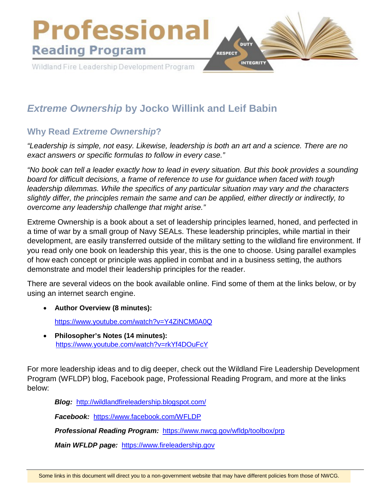

# *Extreme Ownership* **by Jocko Willink and Leif Babin**

# **Why Read** *Extreme Ownership***?**

*"Leadership is simple, not easy. Likewise, leadership is both an art and a science. There are no exact answers or specific formulas to follow in every case."*

*"No book can tell a leader exactly how to lead in every situation. But this book provides a sounding board for difficult decisions, a frame of reference to use for guidance when faced with tough leadership dilemmas. While the specifics of any particular situation may vary and the characters slightly differ, the principles remain the same and can be applied, either directly or indirectly, to overcome any leadership challenge that might arise."*

Extreme Ownership is a book about a set of leadership principles learned, honed, and perfected in a time of war by a small group of Navy SEALs. These leadership principles, while martial in their development, are easily transferred outside of the military setting to the wildland fire environment. If you read only one book on leadership this year, this is the one to choose. Using parallel examples of how each concept or principle was applied in combat and in a business setting, the authors demonstrate and model their leadership principles for the reader.

There are several videos on the book available online. Find some of them at the links below, or by using an internet search engine.

• **Author Overview (8 minutes):**

<https://www.youtube.com/watch?v=Y4ZiNCM0A0Q>

• **Philosopher's Notes (14 minutes):** <https://www.youtube.com/watch?v=rkYf4DOuFcY>

For more leadership ideas and to dig deeper, check out the Wildland Fire Leadership Development Program (WFLDP) blog, Facebook page, Professional Reading Program, and more at the links below:

*Blog:* <http://wildlandfireleadership.blogspot.com/>

*Facebook:* <https://www.facebook.com/WFLDP>

*Professional Reading Program:* <https://www.nwcg.gov/wfldp/toolbox/prp>

*Main WFLDP page:* [https://www.fireleadership.gov](https://www.fireleadership.gov/)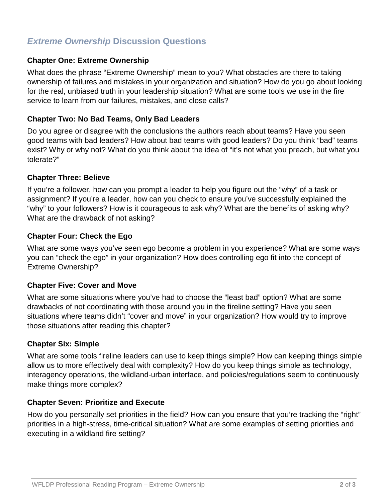# *Extreme Ownership* **Discussion Questions**

#### **Chapter One: Extreme Ownership**

What does the phrase "Extreme Ownership" mean to you? What obstacles are there to taking ownership of failures and mistakes in your organization and situation? How do you go about looking for the real, unbiased truth in your leadership situation? What are some tools we use in the fire service to learn from our failures, mistakes, and close calls?

#### **Chapter Two: No Bad Teams, Only Bad Leaders**

Do you agree or disagree with the conclusions the authors reach about teams? Have you seen good teams with bad leaders? How about bad teams with good leaders? Do you think "bad" teams exist? Why or why not? What do you think about the idea of "it's not what you preach, but what you tolerate?"

#### **Chapter Three: Believe**

If you're a follower, how can you prompt a leader to help you figure out the "why" of a task or assignment? If you're a leader, how can you check to ensure you've successfully explained the "why" to your followers? How is it courageous to ask why? What are the benefits of asking why? What are the drawback of not asking?

### **Chapter Four: Check the Ego**

What are some ways you've seen ego become a problem in you experience? What are some ways you can "check the ego" in your organization? How does controlling ego fit into the concept of Extreme Ownership?

#### **Chapter Five: Cover and Move**

What are some situations where you've had to choose the "least bad" option? What are some drawbacks of not coordinating with those around you in the fireline setting? Have you seen situations where teams didn't "cover and move" in your organization? How would try to improve those situations after reading this chapter?

#### **Chapter Six: Simple**

What are some tools fireline leaders can use to keep things simple? How can keeping things simple allow us to more effectively deal with complexity? How do you keep things simple as technology, interagency operations, the wildland-urban interface, and policies/regulations seem to continuously make things more complex?

#### **Chapter Seven: Prioritize and Execute**

How do you personally set priorities in the field? How can you ensure that you're tracking the "right" priorities in a high-stress, time-critical situation? What are some examples of setting priorities and executing in a wildland fire setting?